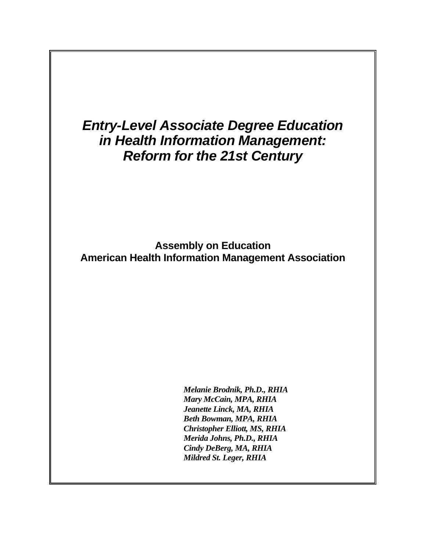# *Entry-Level Associate Degree Education in Health Information Management: Reform for the 21st Century*

 **Assembly on Education American Health Information Management Association** 

> *Melanie Brodnik, Ph.D., RHIA Mary McCain, MPA, RHIA Jeanette Linck, MA, RHIA Beth Bowman, MPA, RHIA Christopher Elliott, MS, RHIA Merida Johns, Ph.D., RHIA Cindy DeBerg, MA, RHIA Mildred St. Leger, RHIA*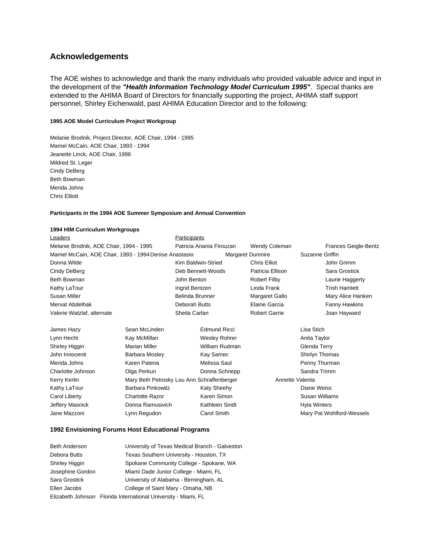## **Acknowledgements**

The AOE wishes to acknowledge and thank the many individuals who provided valuable advice and input in the development of the *"Health Information Technology Model Curriculum 1995"*. Special thanks are extended to the AHIMA Board of Directors for financially supporting the project, AHIMA staff support personnel, Shirley Eichenwald, past AHIMA Education Director and to the following:

#### **1995 AOE Model Curriculum Project Workgroup**

Melanie Brodnik, Project Director, AOE Chair, 1994 - 1995 Mamel McCain, AOE Chair, 1993 - 1994 Jeanette Linck, AOE Chair, 1996 Mildred St. Leger Cindy DeBerg Beth Bowman Merida Johns Chris Elliott

#### **Participants in the 1994 AOE Summer Symposium and Annual Convention**

#### **1994 HIM Curriculum Workgroups**

| Leaders                                               |               | Participants             |                  |                      |                 |                      |
|-------------------------------------------------------|---------------|--------------------------|------------------|----------------------|-----------------|----------------------|
| Melanie Brodnik, AOE Chair, 1994 - 1995               |               | Patricia Anania Firouzan |                  | Wendy Coleman        |                 | Frances Geigle-Bentz |
| Mamel McCain, AOE Chair, 1993 - 1994 Denise Anastasio |               |                          | Margaret Dunmire |                      | Suzanne Griffin |                      |
| Donna Wilde                                           |               | Kim Baldwin-Stried       |                  | <b>Chris Elliot</b>  |                 | John Grimm           |
| Cindy DeBerg                                          |               | Deb Bennett-Woods        |                  | Patricia Ellison     |                 | Sara Grostick        |
| Beth Bowman                                           |               | John Benton              |                  | <b>Robert Filby</b>  |                 | Laurie Haggerty      |
| Kathy LaTour                                          |               | Ingrid Bentzen           |                  | Linda Frank          |                 | Trish Hamlett        |
| Susan Miller                                          |               | Belinda Brunner          |                  | Margaret Gallo       |                 | Mary Alice Hanken    |
| Mervat Abdelhak                                       |               | Deborah Butts            |                  | Elaine Garcia        |                 | Fanny Hawkins        |
| Valerie Watzlaf, alternate                            |               | Sheila Carlan            |                  | <b>Robert Garrie</b> |                 | Joan Hayward         |
| James Hazv                                            | Sean McLinden | Edmund Ricci             |                  |                      | Lisa Stich      |                      |

| James Hazy        | Sean McLinden                              | Edmund Ricci   | Lisa Stich                |
|-------------------|--------------------------------------------|----------------|---------------------------|
| Lynn Hecht        | Kay McMillan                               | Wesley Rohrer  | Anita Taylor              |
| Shirley Higgin    | Marian Miller                              | William Rudman | Glenda Terry              |
| John Innocenti    | <b>Barbara Mosley</b>                      | Kay Samec      | Shirlyn Thomas            |
| Merida Johns      | Karen Patena                               | Melissa Saul   | Penny Thurman             |
| Charlotte Johnson | Olga Perkun                                | Donna Schnepp  | Sandra Trimm              |
| Kerry Kerlin      | Mary Beth Petrosky Lou Ann Schraffenberger |                | Annette Valenta           |
| Kathy LaTour      | Barbara Pinkowitz                          | Katy Sheehy    | Diane Weiss               |
| Carol Liberty     | <b>Charlotte Razor</b>                     | Karen Simon    | Susan Williams            |
| Jeffery Masnick   | Donna Ramusivich                           | Kathleen Sindt | <b>Hyla Winters</b>       |
| Jane Mazzoni      | Lynn Regudon                               | Carol Smith    | Mary Pat Wohlford-Wessels |
|                   |                                            |                |                           |

#### **1992 Envisioning Forums Host Educational Programs**

Beth Anderson University of Texas Medical Branch - Galveston Debora Butts Texas Southern University - Houston, TX Shirley Higgin Spokane Community College - Spokane, WA Josephine Gordon Miami Dade Junior College - Miami, FL Sara Grostick University of Alabama - Birmingham, AL Ellen Jacobs College of Saint Mary - Omaha, NB Elizabeth Johnson Florida International University - Miami, FL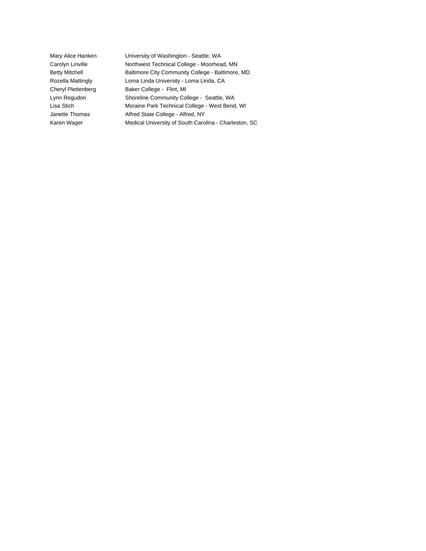Mary Alice Hanken University of Washington - Seattle, WA Carolyn Linville **Northwest Technical College - Moorhead, MN** Betty Mitchell **Baltimore City Community College - Baltimore, MD** Rozella Mattingly Loma Linda University - Loma Linda, CA Cheryl Plettenberg Baker College - Flint, MI Lynn Regudon Shoreline Community College - Seattle, WA Lisa Stich Moraine Park Technical College - West Bend, WI Janette Thomas Alfred State College - Alfred, NY Karen Wager Medical University of South Carolina - Charleston, SC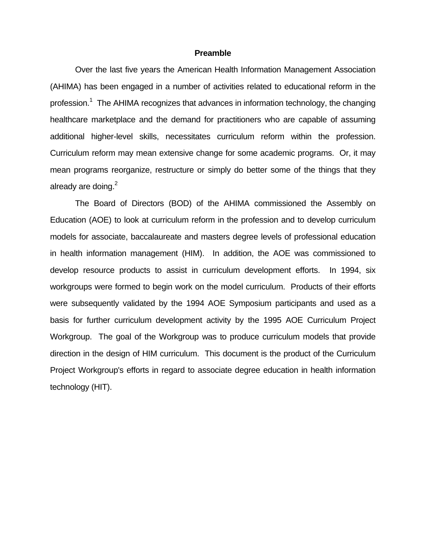### **Preamble**

 Over the last five years the American Health Information Management Association (AHIMA) has been engaged in a number of activities related to educational reform in the profession.<sup>1</sup> The AHIMA recognizes that advances in information technology, the changing healthcare marketplace and the demand for practitioners who are capable of assuming additional higher-level skills, necessitates curriculum reform within the profession. Curriculum reform may mean extensive change for some academic programs. Or, it may mean programs reorganize, restructure or simply do better some of the things that they already are doing. $2$ 

 The Board of Directors (BOD) of the AHIMA commissioned the Assembly on Education (AOE) to look at curriculum reform in the profession and to develop curriculum models for associate, baccalaureate and masters degree levels of professional education in health information management (HIM). In addition, the AOE was commissioned to develop resource products to assist in curriculum development efforts. In 1994, six workgroups were formed to begin work on the model curriculum. Products of their efforts were subsequently validated by the 1994 AOE Symposium participants and used as a basis for further curriculum development activity by the 1995 AOE Curriculum Project Workgroup. The goal of the Workgroup was to produce curriculum models that provide direction in the design of HIM curriculum. This document is the product of the Curriculum Project Workgroup's efforts in regard to associate degree education in health information technology (HIT).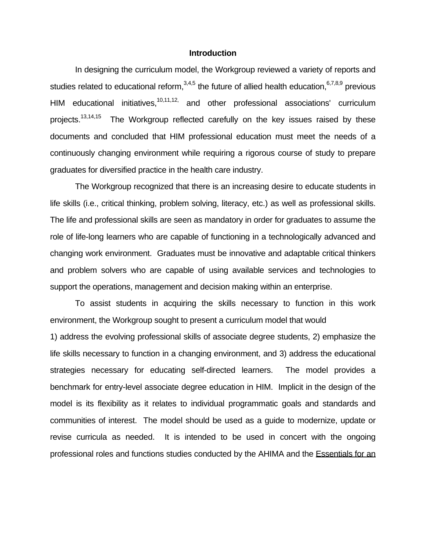### **Introduction**

 In designing the curriculum model, the Workgroup reviewed a variety of reports and studies related to educational reform,  $3,4,5$  the future of allied health education,  $6,7,8,9$  previous HIM educational initiatives, $10,11,12$ , and other professional associations' curriculum projects.<sup>13,14,15</sup> The Workgroup reflected carefully on the key issues raised by these documents and concluded that HIM professional education must meet the needs of a continuously changing environment while requiring a rigorous course of study to prepare graduates for diversified practice in the health care industry.

 The Workgroup recognized that there is an increasing desire to educate students in life skills (i.e., critical thinking, problem solving, literacy, etc.) as well as professional skills. The life and professional skills are seen as mandatory in order for graduates to assume the role of life-long learners who are capable of functioning in a technologically advanced and changing work environment. Graduates must be innovative and adaptable critical thinkers and problem solvers who are capable of using available services and technologies to support the operations, management and decision making within an enterprise.

 To assist students in acquiring the skills necessary to function in this work environment, the Workgroup sought to present a curriculum model that would

1) address the evolving professional skills of associate degree students, 2) emphasize the life skills necessary to function in a changing environment, and 3) address the educational strategies necessary for educating self-directed learners. The model provides a benchmark for entry-level associate degree education in HIM. Implicit in the design of the model is its flexibility as it relates to individual programmatic goals and standards and communities of interest. The model should be used as a guide to modernize, update or revise curricula as needed. It is intended to be used in concert with the ongoing professional roles and functions studies conducted by the AHIMA and the Essentials for an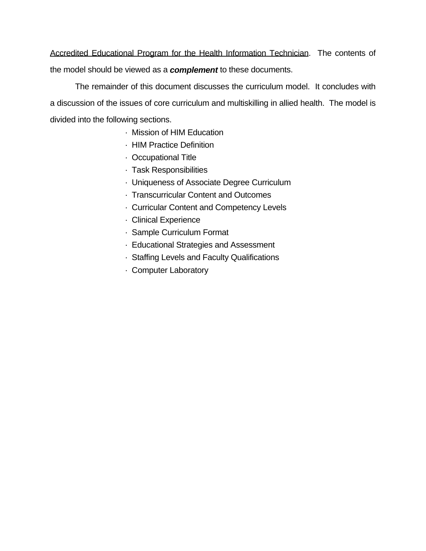Accredited Educational Program for the Health Information Technician. The contents of the model should be viewed as a *complement* to these documents.

 The remainder of this document discusses the curriculum model. It concludes with a discussion of the issues of core curriculum and multiskilling in allied health. The model is divided into the following sections.

- · Mission of HIM Education
- · HIM Practice Definition
- · Occupational Title
- · Task Responsibilities
- · Uniqueness of Associate Degree Curriculum
- · Transcurricular Content and Outcomes
- · Curricular Content and Competency Levels
- · Clinical Experience
- · Sample Curriculum Format
- · Educational Strategies and Assessment
- · Staffing Levels and Faculty Qualifications
- · Computer Laboratory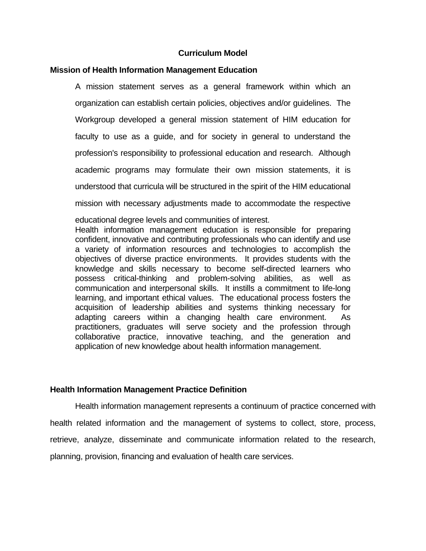# **Curriculum Model**

# **Mission of Health Information Management Education**

 A mission statement serves as a general framework within which an organization can establish certain policies, objectives and/or guidelines. The Workgroup developed a general mission statement of HIM education for faculty to use as a guide, and for society in general to understand the profession's responsibility to professional education and research. Although academic programs may formulate their own mission statements, it is understood that curricula will be structured in the spirit of the HIM educational mission with necessary adjustments made to accommodate the respective educational degree levels and communities of interest. Health information management education is responsible for preparing

confident, innovative and contributing professionals who can identify and use a variety of information resources and technologies to accomplish the objectives of diverse practice environments. It provides students with the knowledge and skills necessary to become self-directed learners who possess critical-thinking and problem-solving abilities, as well as communication and interpersonal skills. It instills a commitment to life-long learning, and important ethical values. The educational process fosters the acquisition of leadership abilities and systems thinking necessary for adapting careers within a changing health care environment. As practitioners, graduates will serve society and the profession through collaborative practice, innovative teaching, and the generation and application of new knowledge about health information management.

# **Health Information Management Practice Definition**

 Health information management represents a continuum of practice concerned with health related information and the management of systems to collect, store, process, retrieve, analyze, disseminate and communicate information related to the research, planning, provision, financing and evaluation of health care services.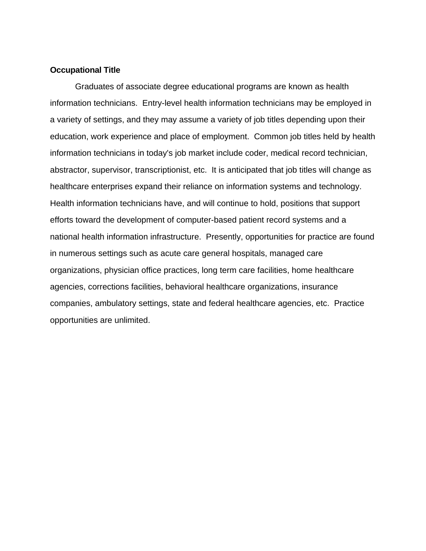### **Occupational Title**

 Graduates of associate degree educational programs are known as health information technicians. Entry-level health information technicians may be employed in a variety of settings, and they may assume a variety of job titles depending upon their education, work experience and place of employment. Common job titles held by health information technicians in today's job market include coder, medical record technician, abstractor, supervisor, transcriptionist, etc. It is anticipated that job titles will change as healthcare enterprises expand their reliance on information systems and technology. Health information technicians have, and will continue to hold, positions that support efforts toward the development of computer-based patient record systems and a national health information infrastructure. Presently, opportunities for practice are found in numerous settings such as acute care general hospitals, managed care organizations, physician office practices, long term care facilities, home healthcare agencies, corrections facilities, behavioral healthcare organizations, insurance companies, ambulatory settings, state and federal healthcare agencies, etc. Practice opportunities are unlimited.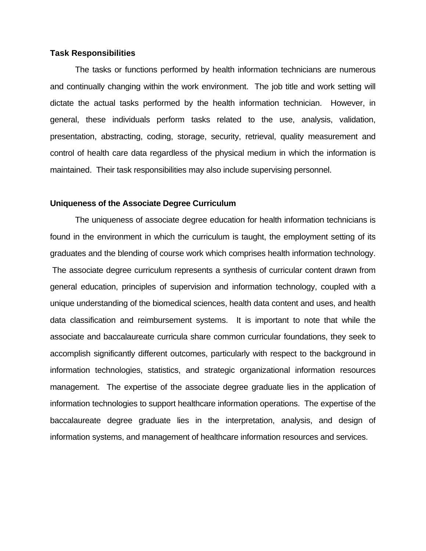#### **Task Responsibilities**

 The tasks or functions performed by health information technicians are numerous and continually changing within the work environment. The job title and work setting will dictate the actual tasks performed by the health information technician. However, in general, these individuals perform tasks related to the use, analysis, validation, presentation, abstracting, coding, storage, security, retrieval, quality measurement and control of health care data regardless of the physical medium in which the information is maintained. Their task responsibilities may also include supervising personnel.

# **Uniqueness of the Associate Degree Curriculum**

 The uniqueness of associate degree education for health information technicians is found in the environment in which the curriculum is taught, the employment setting of its graduates and the blending of course work which comprises health information technology. The associate degree curriculum represents a synthesis of curricular content drawn from general education, principles of supervision and information technology, coupled with a unique understanding of the biomedical sciences, health data content and uses, and health data classification and reimbursement systems. It is important to note that while the associate and baccalaureate curricula share common curricular foundations, they seek to accomplish significantly different outcomes, particularly with respect to the background in information technologies, statistics, and strategic organizational information resources management. The expertise of the associate degree graduate lies in the application of information technologies to support healthcare information operations. The expertise of the baccalaureate degree graduate lies in the interpretation, analysis, and design of information systems, and management of healthcare information resources and services.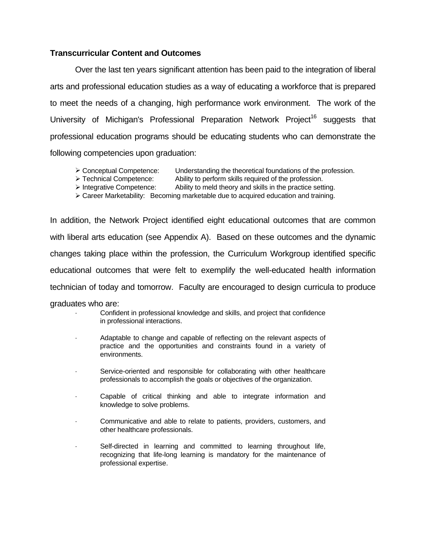# **Transcurricular Content and Outcomes**

 Over the last ten years significant attention has been paid to the integration of liberal arts and professional education studies as a way of educating a workforce that is prepared to meet the needs of a changing, high performance work environment. The work of the University of Michigan's Professional Preparation Network Project<sup>16</sup> suggests that professional education programs should be educating students who can demonstrate the following competencies upon graduation:

- $\triangleright$  Conceptual Competence: Understanding the theoretical foundations of the profession.
- $\triangleright$  Technical Competence: Ability to perform skills required of the profession.
	-
- $\triangleright$  Integrative Competence: Ability to meld theory and skills in the practice setting.
- $\triangleright$  Career Marketability: Becoming marketable due to acquired education and training.

In addition, the Network Project identified eight educational outcomes that are common with liberal arts education (see Appendix A). Based on these outcomes and the dynamic changes taking place within the profession, the Curriculum Workgroup identified specific educational outcomes that were felt to exemplify the well-educated health information technician of today and tomorrow. Faculty are encouraged to design curricula to produce graduates who are:

> Confident in professional knowledge and skills, and project that confidence in professional interactions.

- Adaptable to change and capable of reflecting on the relevant aspects of practice and the opportunities and constraints found in a variety of environments.
- · Service-oriented and responsible for collaborating with other healthcare professionals to accomplish the goals or objectives of the organization.
- Capable of critical thinking and able to integrate information and knowledge to solve problems.
- Communicative and able to relate to patients, providers, customers, and other healthcare professionals.
- Self-directed in learning and committed to learning throughout life, recognizing that life-long learning is mandatory for the maintenance of professional expertise.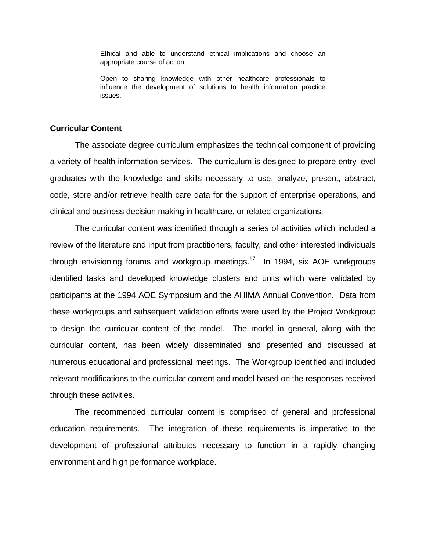- Ethical and able to understand ethical implications and choose an appropriate course of action.
- · Open to sharing knowledge with other healthcare professionals to influence the development of solutions to health information practice issues.

### **Curricular Content**

 The associate degree curriculum emphasizes the technical component of providing a variety of health information services. The curriculum is designed to prepare entry-level graduates with the knowledge and skills necessary to use, analyze, present, abstract, code, store and/or retrieve health care data for the support of enterprise operations, and clinical and business decision making in healthcare, or related organizations.

 The curricular content was identified through a series of activities which included a review of the literature and input from practitioners, faculty, and other interested individuals through envisioning forums and workgroup meetings.<sup>17</sup> In 1994, six AOE workgroups identified tasks and developed knowledge clusters and units which were validated by participants at the 1994 AOE Symposium and the AHIMA Annual Convention. Data from these workgroups and subsequent validation efforts were used by the Project Workgroup to design the curricular content of the model. The model in general, along with the curricular content, has been widely disseminated and presented and discussed at numerous educational and professional meetings. The Workgroup identified and included relevant modifications to the curricular content and model based on the responses received through these activities.

 The recommended curricular content is comprised of general and professional education requirements. The integration of these requirements is imperative to the development of professional attributes necessary to function in a rapidly changing environment and high performance workplace.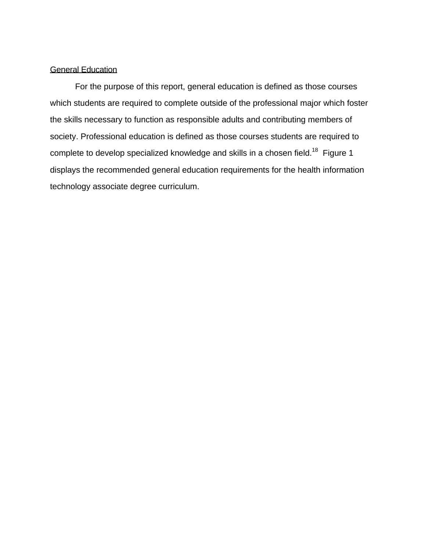# General Education

 For the purpose of this report, general education is defined as those courses which students are required to complete outside of the professional major which foster the skills necessary to function as responsible adults and contributing members of society. Professional education is defined as those courses students are required to complete to develop specialized knowledge and skills in a chosen field.<sup>18</sup> Figure 1 displays the recommended general education requirements for the health information technology associate degree curriculum.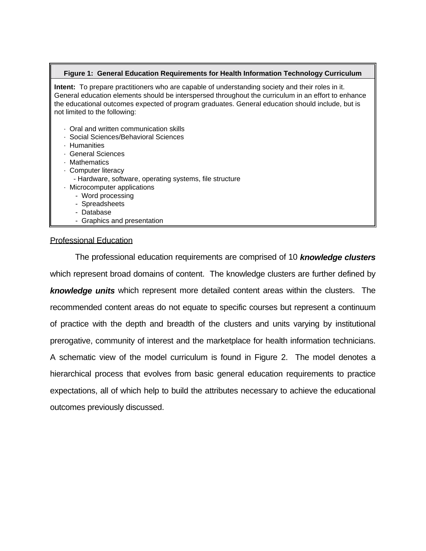#### **Figure 1: General Education Requirements for Health Information Technology Curriculum**

**Intent:** To prepare practitioners who are capable of understanding society and their roles in it. General education elements should be interspersed throughout the curriculum in an effort to enhance the educational outcomes expected of program graduates. General education should include, but is not limited to the following:

- · Oral and written communication skills
- · Social Sciences/Behavioral Sciences
- · Humanities
- · General Sciences
- · Mathematics
- · Computer literacy
	- Hardware, software, operating systems, file structure
- · Microcomputer applications
	- Word processing
	- Spreadsheets
	- Database
	- Graphics and presentation

### Professional Education

 The professional education requirements are comprised of 10 *knowledge clusters* which represent broad domains of content. The knowledge clusters are further defined by *knowledge units* which represent more detailed content areas within the clusters. The recommended content areas do not equate to specific courses but represent a continuum of practice with the depth and breadth of the clusters and units varying by institutional prerogative, community of interest and the marketplace for health information technicians. A schematic view of the model curriculum is found in Figure 2. The model denotes a hierarchical process that evolves from basic general education requirements to practice expectations, all of which help to build the attributes necessary to achieve the educational outcomes previously discussed.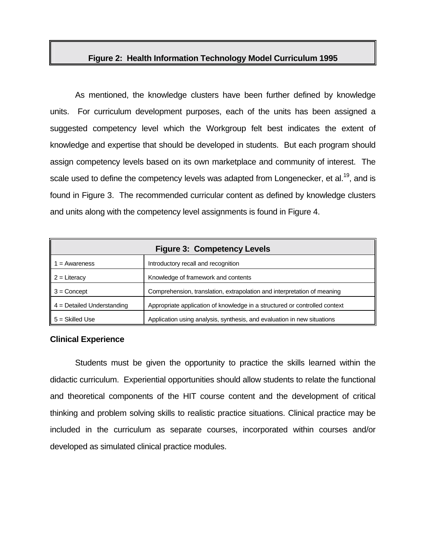# **Figure 2: Health Information Technology Model Curriculum 1995**

 As mentioned, the knowledge clusters have been further defined by knowledge units. For curriculum development purposes, each of the units has been assigned a suggested competency level which the Workgroup felt best indicates the extent of knowledge and expertise that should be developed in students. But each program should assign competency levels based on its own marketplace and community of interest. The scale used to define the competency levels was adapted from Longenecker, et al.<sup>19</sup>, and is found in Figure 3. The recommended curricular content as defined by knowledge clusters and units along with the competency level assignments is found in Figure 4.

| <b>Figure 3: Competency Levels</b> |                                                                            |  |
|------------------------------------|----------------------------------------------------------------------------|--|
| = Awareness                        | Introductory recall and recognition                                        |  |
| $2 =$ Literacy                     | Knowledge of framework and contents                                        |  |
| $3 =$ Concept                      | Comprehension, translation, extrapolation and interpretation of meaning    |  |
| $4 =$ Detailed Understanding       | Appropriate application of knowledge in a structured or controlled context |  |
| $5 = Skilled Use$                  | Application using analysis, synthesis, and evaluation in new situations    |  |

### **Clinical Experience**

 Students must be given the opportunity to practice the skills learned within the didactic curriculum. Experiential opportunities should allow students to relate the functional and theoretical components of the HIT course content and the development of critical thinking and problem solving skills to realistic practice situations. Clinical practice may be included in the curriculum as separate courses, incorporated within courses and/or developed as simulated clinical practice modules.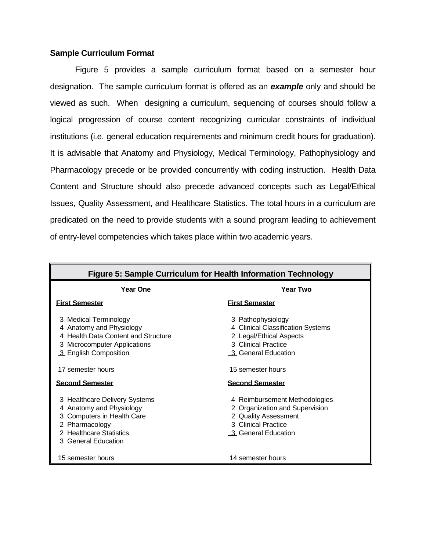## **Sample Curriculum Format**

 Figure 5 provides a sample curriculum format based on a semester hour designation. The sample curriculum format is offered as an *example* only and should be viewed as such. When designing a curriculum, sequencing of courses should follow a logical progression of course content recognizing curricular constraints of individual institutions (i.e. general education requirements and minimum credit hours for graduation). It is advisable that Anatomy and Physiology, Medical Terminology, Pathophysiology and Pharmacology precede or be provided concurrently with coding instruction. Health Data Content and Structure should also precede advanced concepts such as Legal/Ethical Issues, Quality Assessment, and Healthcare Statistics. The total hours in a curriculum are predicated on the need to provide students with a sound program leading to achievement of entry-level competencies which takes place within two academic years.

| Figure 5: Sample Curriculum for Health Information Technology                                                                                                                                    |                                                                                                                                                                                |  |  |
|--------------------------------------------------------------------------------------------------------------------------------------------------------------------------------------------------|--------------------------------------------------------------------------------------------------------------------------------------------------------------------------------|--|--|
| <b>Year One</b>                                                                                                                                                                                  | Year Two                                                                                                                                                                       |  |  |
| <u>First Semester</u>                                                                                                                                                                            | <b>First Semester</b>                                                                                                                                                          |  |  |
| 3 Medical Terminology<br>4 Anatomy and Physiology<br>4 Health Data Content and Structure<br>3 Microcomputer Applications<br>3 English Composition<br>17 semester hours<br><b>Second Semester</b> | 3 Pathophysiology<br>4 Clinical Classification Systems<br>2 Legal/Ethical Aspects<br>3 Clinical Practice<br>3 General Education<br>15 semester hours<br><b>Second Semester</b> |  |  |
| 3 Healthcare Delivery Systems<br>4 Anatomy and Physiology<br>3 Computers in Health Care<br>2 Pharmacology<br>2 Healthcare Statistics<br>3 General Education                                      | 4 Reimbursement Methodologies<br>2 Organization and Supervision<br>2 Quality Assessment<br>3 Clinical Practice<br>3 General Education                                          |  |  |
| 15 semester hours                                                                                                                                                                                | 14 semester hours                                                                                                                                                              |  |  |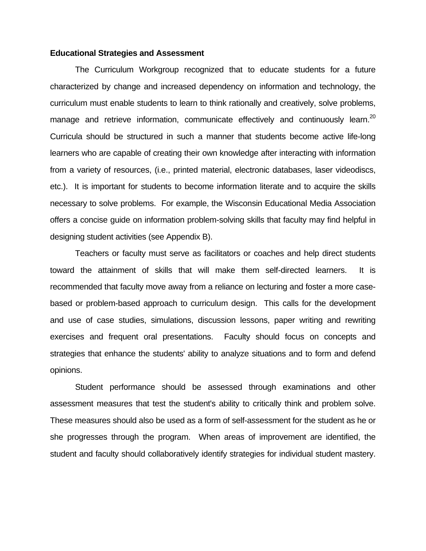### **Educational Strategies and Assessment**

 The Curriculum Workgroup recognized that to educate students for a future characterized by change and increased dependency on information and technology, the curriculum must enable students to learn to think rationally and creatively, solve problems, manage and retrieve information, communicate effectively and continuously learn.<sup>20</sup> Curricula should be structured in such a manner that students become active life-long learners who are capable of creating their own knowledge after interacting with information from a variety of resources, (i.e., printed material, electronic databases, laser videodiscs, etc.). It is important for students to become information literate and to acquire the skills necessary to solve problems. For example, the Wisconsin Educational Media Association offers a concise guide on information problem-solving skills that faculty may find helpful in designing student activities (see Appendix B).

 Teachers or faculty must serve as facilitators or coaches and help direct students toward the attainment of skills that will make them self-directed learners. It is recommended that faculty move away from a reliance on lecturing and foster a more casebased or problem-based approach to curriculum design. This calls for the development and use of case studies, simulations, discussion lessons, paper writing and rewriting exercises and frequent oral presentations. Faculty should focus on concepts and strategies that enhance the students' ability to analyze situations and to form and defend opinions.

 Student performance should be assessed through examinations and other assessment measures that test the student's ability to critically think and problem solve. These measures should also be used as a form of self-assessment for the student as he or she progresses through the program. When areas of improvement are identified, the student and faculty should collaboratively identify strategies for individual student mastery.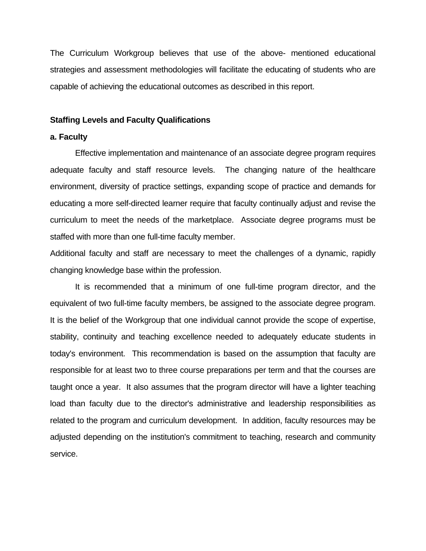The Curriculum Workgroup believes that use of the above- mentioned educational strategies and assessment methodologies will facilitate the educating of students who are capable of achieving the educational outcomes as described in this report.

### **Staffing Levels and Faculty Qualifications**

### **a. Faculty**

 Effective implementation and maintenance of an associate degree program requires adequate faculty and staff resource levels. The changing nature of the healthcare environment, diversity of practice settings, expanding scope of practice and demands for educating a more self-directed learner require that faculty continually adjust and revise the curriculum to meet the needs of the marketplace. Associate degree programs must be staffed with more than one full-time faculty member.

Additional faculty and staff are necessary to meet the challenges of a dynamic, rapidly changing knowledge base within the profession.

 It is recommended that a minimum of one full-time program director, and the equivalent of two full-time faculty members, be assigned to the associate degree program. It is the belief of the Workgroup that one individual cannot provide the scope of expertise, stability, continuity and teaching excellence needed to adequately educate students in today's environment. This recommendation is based on the assumption that faculty are responsible for at least two to three course preparations per term and that the courses are taught once a year. It also assumes that the program director will have a lighter teaching load than faculty due to the director's administrative and leadership responsibilities as related to the program and curriculum development. In addition, faculty resources may be adjusted depending on the institution's commitment to teaching, research and community service.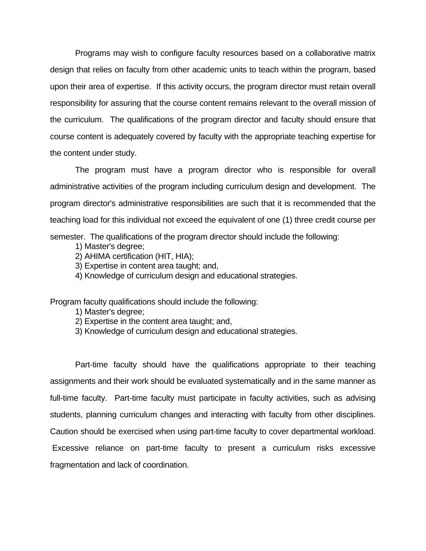Programs may wish to configure faculty resources based on a collaborative matrix design that relies on faculty from other academic units to teach within the program, based upon their area of expertise. If this activity occurs, the program director must retain overall responsibility for assuring that the course content remains relevant to the overall mission of the curriculum. The qualifications of the program director and faculty should ensure that course content is adequately covered by faculty with the appropriate teaching expertise for the content under study.

 The program must have a program director who is responsible for overall administrative activities of the program including curriculum design and development. The program director's administrative responsibilities are such that it is recommended that the teaching load for this individual not exceed the equivalent of one (1) three credit course per semester. The qualifications of the program director should include the following:

- 1) Master's degree;
- 2) AHIMA certification (HIT, HIA);
- 3) Expertise in content area taught; and,
- 4) Knowledge of curriculum design and educational strategies.

Program faculty qualifications should include the following:

- 1) Master's degree;
- 2) Expertise in the content area taught; and,
- 3) Knowledge of curriculum design and educational strategies.

 Part-time faculty should have the qualifications appropriate to their teaching assignments and their work should be evaluated systematically and in the same manner as full-time faculty. Part-time faculty must participate in faculty activities, such as advising students, planning curriculum changes and interacting with faculty from other disciplines. Caution should be exercised when using part-time faculty to cover departmental workload. Excessive reliance on part-time faculty to present a curriculum risks excessive fragmentation and lack of coordination.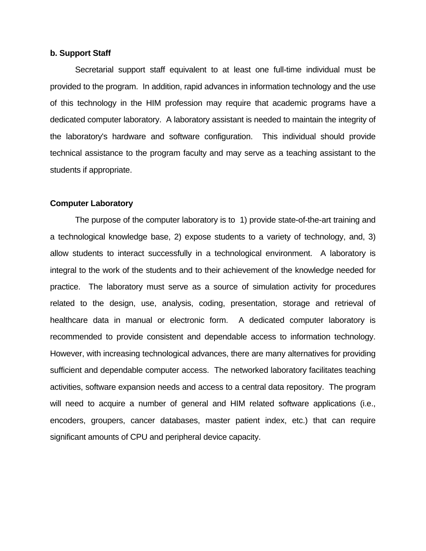# **b. Support Staff**

 Secretarial support staff equivalent to at least one full-time individual must be provided to the program. In addition, rapid advances in information technology and the use of this technology in the HIM profession may require that academic programs have a dedicated computer laboratory. A laboratory assistant is needed to maintain the integrity of the laboratory's hardware and software configuration. This individual should provide technical assistance to the program faculty and may serve as a teaching assistant to the students if appropriate.

#### **Computer Laboratory**

 The purpose of the computer laboratory is to 1) provide state-of-the-art training and a technological knowledge base, 2) expose students to a variety of technology, and, 3) allow students to interact successfully in a technological environment. A laboratory is integral to the work of the students and to their achievement of the knowledge needed for practice. The laboratory must serve as a source of simulation activity for procedures related to the design, use, analysis, coding, presentation, storage and retrieval of healthcare data in manual or electronic form. A dedicated computer laboratory is recommended to provide consistent and dependable access to information technology. However, with increasing technological advances, there are many alternatives for providing sufficient and dependable computer access. The networked laboratory facilitates teaching activities, software expansion needs and access to a central data repository. The program will need to acquire a number of general and HIM related software applications (i.e., encoders, groupers, cancer databases, master patient index, etc.) that can require significant amounts of CPU and peripheral device capacity.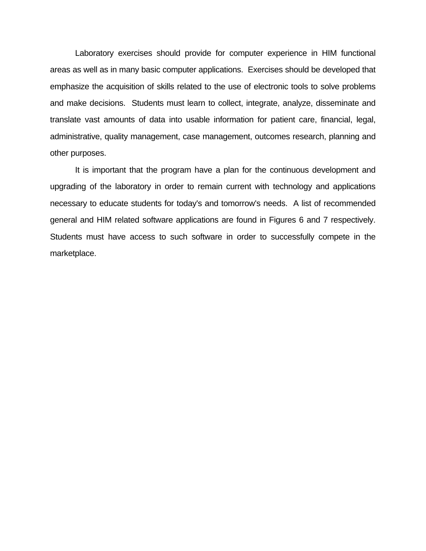Laboratory exercises should provide for computer experience in HIM functional areas as well as in many basic computer applications. Exercises should be developed that emphasize the acquisition of skills related to the use of electronic tools to solve problems and make decisions. Students must learn to collect, integrate, analyze, disseminate and translate vast amounts of data into usable information for patient care, financial, legal, administrative, quality management, case management, outcomes research, planning and other purposes.

 It is important that the program have a plan for the continuous development and upgrading of the laboratory in order to remain current with technology and applications necessary to educate students for today's and tomorrow's needs. A list of recommended general and HIM related software applications are found in Figures 6 and 7 respectively. Students must have access to such software in order to successfully compete in the marketplace.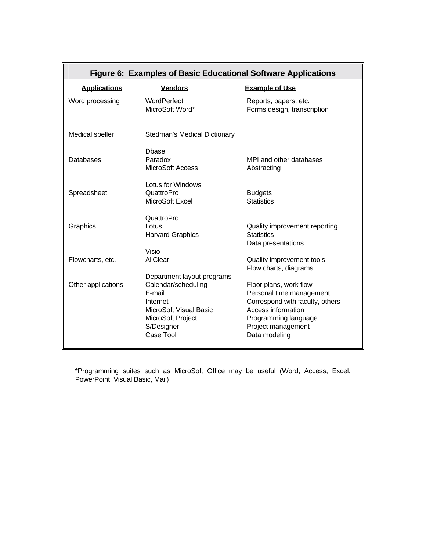| Figure 6: Examples of Basic Educational Software Applications |                                                                                                                                                   |                                                                                                                                                                            |  |  |
|---------------------------------------------------------------|---------------------------------------------------------------------------------------------------------------------------------------------------|----------------------------------------------------------------------------------------------------------------------------------------------------------------------------|--|--|
| <b>Applications</b>                                           | <b>Vendors</b>                                                                                                                                    | <b>Example of Use</b>                                                                                                                                                      |  |  |
| Word processing                                               | WordPerfect<br>MicroSoft Word*                                                                                                                    | Reports, papers, etc.<br>Forms design, transcription                                                                                                                       |  |  |
| Medical speller                                               | <b>Stedman's Medical Dictionary</b>                                                                                                               |                                                                                                                                                                            |  |  |
| Databases                                                     | <b>D</b> base<br>Paradox<br><b>MicroSoft Access</b>                                                                                               | MPI and other databases<br>Abstracting                                                                                                                                     |  |  |
| Spreadsheet                                                   | Lotus for Windows<br>QuattroPro<br>MicroSoft Excel                                                                                                | <b>Budgets</b><br><b>Statistics</b>                                                                                                                                        |  |  |
| Graphics                                                      | QuattroPro<br>Lotus<br><b>Harvard Graphics</b>                                                                                                    | Quality improvement reporting<br><b>Statistics</b><br>Data presentations                                                                                                   |  |  |
| Flowcharts, etc.                                              | Visio<br>AllClear                                                                                                                                 | Quality improvement tools<br>Flow charts, diagrams                                                                                                                         |  |  |
| Other applications                                            | Department layout programs<br>Calendar/scheduling<br>E-mail<br>Internet<br>MicroSoft Visual Basic<br>MicroSoft Project<br>S/Designer<br>Case Tool | Floor plans, work flow<br>Personal time management<br>Correspond with faculty, others<br>Access information<br>Programming language<br>Project management<br>Data modeling |  |  |

 \*Programming suites such as MicroSoft Office may be useful (Word, Access, Excel, PowerPoint, Visual Basic, Mail)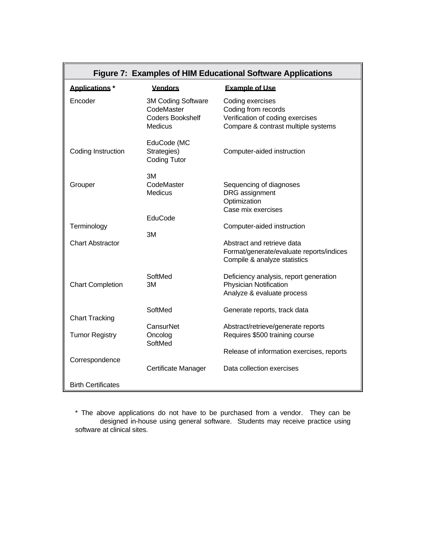| Figure 7: Examples of HIM Educational Software Applications |                                                                               |                                                                                                                    |  |  |
|-------------------------------------------------------------|-------------------------------------------------------------------------------|--------------------------------------------------------------------------------------------------------------------|--|--|
| <b>Applications</b> *                                       | <b>Vendors</b>                                                                | <b>Example of Use</b>                                                                                              |  |  |
| Encoder                                                     | 3M Coding Software<br>CodeMaster<br><b>Coders Bookshelf</b><br><b>Medicus</b> | Coding exercises<br>Coding from records<br>Verification of coding exercises<br>Compare & contrast multiple systems |  |  |
| Coding Instruction                                          | EduCode (MC<br>Strategies)<br><b>Coding Tutor</b>                             | Computer-aided instruction                                                                                         |  |  |
| Grouper                                                     | ЗM<br>CodeMaster<br>Medicus                                                   | Sequencing of diagnoses<br>DRG assignment<br>Optimization<br>Case mix exercises                                    |  |  |
| Terminology                                                 | EduCode<br>3M                                                                 | Computer-aided instruction                                                                                         |  |  |
| <b>Chart Abstractor</b>                                     |                                                                               | Abstract and retrieve data<br>Format/generate/evaluate reports/indices<br>Compile & analyze statistics             |  |  |
| <b>Chart Completion</b>                                     | SoftMed<br>3M                                                                 | Deficiency analysis, report generation<br><b>Physician Notification</b><br>Analyze & evaluate process              |  |  |
| <b>Chart Tracking</b>                                       | SoftMed                                                                       | Generate reports, track data                                                                                       |  |  |
| <b>Tumor Registry</b>                                       | CansurNet<br>Oncolog<br>SoftMed                                               | Abstract/retrieve/generate reports<br>Requires \$500 training course                                               |  |  |
|                                                             |                                                                               | Release of information exercises, reports                                                                          |  |  |
| Correspondence                                              | Certificate Manager                                                           | Data collection exercises                                                                                          |  |  |
| <b>Birth Certificates</b>                                   |                                                                               |                                                                                                                    |  |  |

 \* The above applications do not have to be purchased from a vendor. They can be designed in-house using general software. Students may receive practice using software at clinical sites.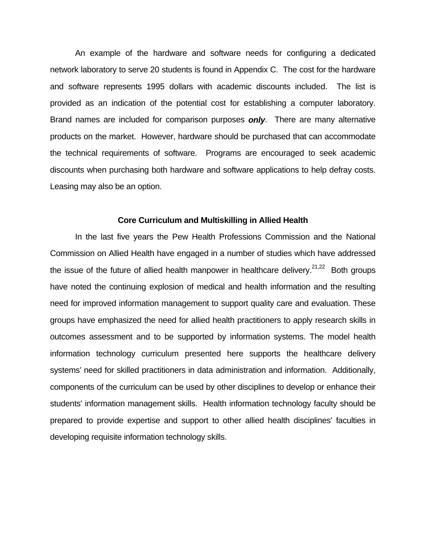An example of the hardware and software needs for configuring a dedicated network laboratory to serve 20 students is found in Appendix C. The cost for the hardware and software represents 1995 dollars with academic discounts included. The list is provided as an indication of the potential cost for establishing a computer laboratory. Brand names are included for comparison purposes *only*. There are many alternative products on the market. However, hardware should be purchased that can accommodate the technical requirements of software. Programs are encouraged to seek academic discounts when purchasing both hardware and software applications to help defray costs. Leasing may also be an option.

#### **Core Curriculum and Multiskilling in Allied Health**

 In the last five years the Pew Health Professions Commission and the National Commission on Allied Health have engaged in a number of studies which have addressed the issue of the future of allied health manpower in healthcare delivery.<sup>21,22</sup> Both groups have noted the continuing explosion of medical and health information and the resulting need for improved information management to support quality care and evaluation. These groups have emphasized the need for allied health practitioners to apply research skills in outcomes assessment and to be supported by information systems. The model health information technology curriculum presented here supports the healthcare delivery systems' need for skilled practitioners in data administration and information. Additionally, components of the curriculum can be used by other disciplines to develop or enhance their students' information management skills. Health information technology faculty should be prepared to provide expertise and support to other allied health disciplines' faculties in developing requisite information technology skills.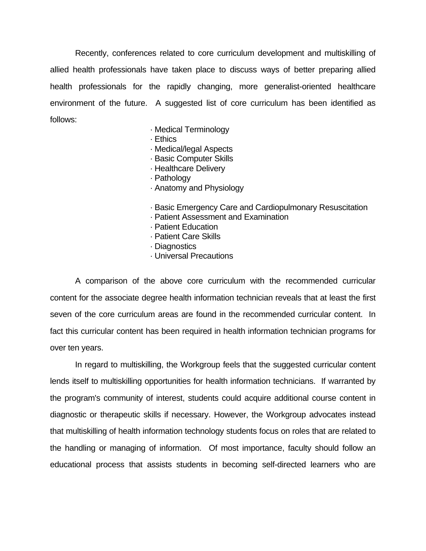Recently, conferences related to core curriculum development and multiskilling of allied health professionals have taken place to discuss ways of better preparing allied health professionals for the rapidly changing, more generalist-oriented healthcare environment of the future. A suggested list of core curriculum has been identified as follows:

- · Medical Terminology
- · Ethics
- · Medical/legal Aspects
- · Basic Computer Skills
- · Healthcare Delivery
- · Pathology
- · Anatomy and Physiology
- · Basic Emergency Care and Cardiopulmonary Resuscitation
- · Patient Assessment and Examination
- · Patient Education
- · Patient Care Skills
- · Diagnostics
- · Universal Precautions

 A comparison of the above core curriculum with the recommended curricular content for the associate degree health information technician reveals that at least the first seven of the core curriculum areas are found in the recommended curricular content. In fact this curricular content has been required in health information technician programs for over ten years.

 In regard to multiskilling, the Workgroup feels that the suggested curricular content lends itself to multiskilling opportunities for health information technicians. If warranted by the program's community of interest, students could acquire additional course content in diagnostic or therapeutic skills if necessary. However, the Workgroup advocates instead that multiskilling of health information technology students focus on roles that are related to the handling or managing of information. Of most importance, faculty should follow an educational process that assists students in becoming self-directed learners who are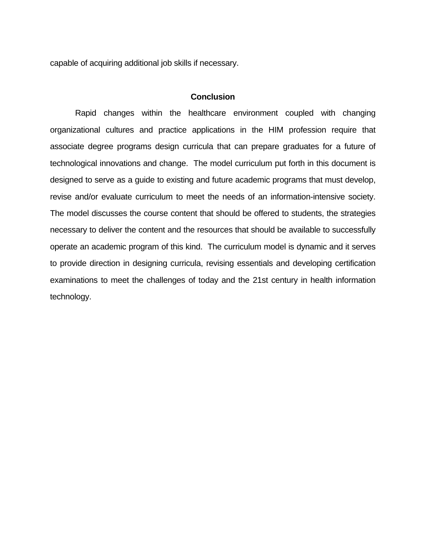capable of acquiring additional job skills if necessary.

# **Conclusion**

 Rapid changes within the healthcare environment coupled with changing organizational cultures and practice applications in the HIM profession require that associate degree programs design curricula that can prepare graduates for a future of technological innovations and change. The model curriculum put forth in this document is designed to serve as a guide to existing and future academic programs that must develop, revise and/or evaluate curriculum to meet the needs of an information-intensive society. The model discusses the course content that should be offered to students, the strategies necessary to deliver the content and the resources that should be available to successfully operate an academic program of this kind. The curriculum model is dynamic and it serves to provide direction in designing curricula, revising essentials and developing certification examinations to meet the challenges of today and the 21st century in health information technology.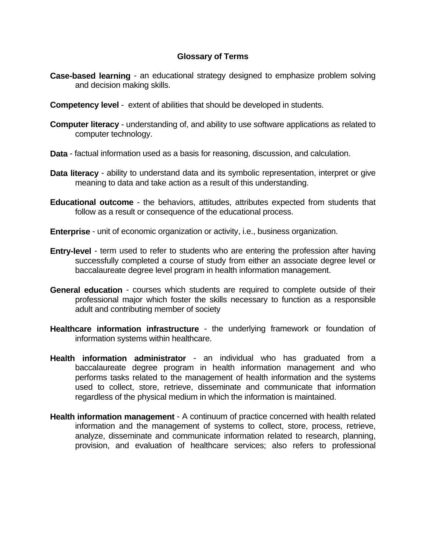# **Glossary of Terms**

- **Case-based learning** an educational strategy designed to emphasize problem solving and decision making skills.
- **Competency level** extent of abilities that should be developed in students.
- **Computer literacy** understanding of, and ability to use software applications as related to computer technology.
- **Data** factual information used as a basis for reasoning, discussion, and calculation.
- **Data literacy** ability to understand data and its symbolic representation, interpret or give meaning to data and take action as a result of this understanding.
- **Educational outcome** the behaviors, attitudes, attributes expected from students that follow as a result or consequence of the educational process.
- **Enterprise** unit of economic organization or activity, i.e., business organization.
- **Entry-level** term used to refer to students who are entering the profession after having successfully completed a course of study from either an associate degree level or baccalaureate degree level program in health information management.
- **General education** courses which students are required to complete outside of their professional major which foster the skills necessary to function as a responsible adult and contributing member of society
- **Healthcare information infrastructure** the underlying framework or foundation of information systems within healthcare.
- **Health information administrator** an individual who has graduated from a baccalaureate degree program in health information management and who performs tasks related to the management of health information and the systems used to collect, store, retrieve, disseminate and communicate that information regardless of the physical medium in which the information is maintained.
- **Health information management** A continuum of practice concerned with health related information and the management of systems to collect, store, process, retrieve, analyze, disseminate and communicate information related to research, planning, provision, and evaluation of healthcare services; also refers to professional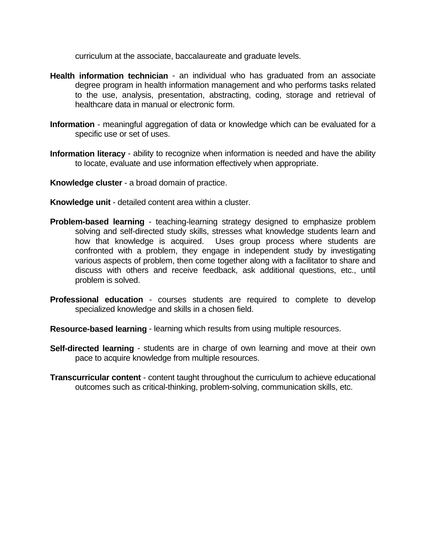curriculum at the associate, baccalaureate and graduate levels.

- **Health information technician** an individual who has graduated from an associate degree program in health information management and who performs tasks related to the use, analysis, presentation, abstracting, coding, storage and retrieval of healthcare data in manual or electronic form.
- **Information** meaningful aggregation of data or knowledge which can be evaluated for a specific use or set of uses.
- **Information literacy** ability to recognize when information is needed and have the ability to locate, evaluate and use information effectively when appropriate.
- **Knowledge cluster** a broad domain of practice.
- **Knowledge unit** detailed content area within a cluster.
- **Problem-based learning** teaching-learning strategy designed to emphasize problem solving and self-directed study skills, stresses what knowledge students learn and how that knowledge is acquired. Uses group process where students are confronted with a problem, they engage in independent study by investigating various aspects of problem, then come together along with a facilitator to share and discuss with others and receive feedback, ask additional questions, etc., until problem is solved.
- **Professional education** courses students are required to complete to develop specialized knowledge and skills in a chosen field.
- **Resource-based learning** learning which results from using multiple resources.
- **Self-directed learning** students are in charge of own learning and move at their own pace to acquire knowledge from multiple resources.
- **Transcurricular content** content taught throughout the curriculum to achieve educational outcomes such as critical-thinking, problem-solving, communication skills, etc.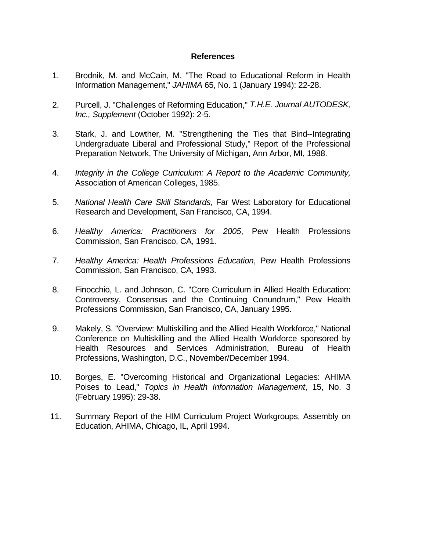# **References**

- 1. Brodnik, M. and McCain, M. "The Road to Educational Reform in Health Information Management," *JAHIMA* 65, No. 1 (January 1994): 22-28.
- 2. Purcell, J. "Challenges of Reforming Education," *T.H.E. Journal AUTODESK, Inc., Supplement* (October 1992): 2-5.
- 3. Stark, J. and Lowther, M. "Strengthening the Ties that Bind--Integrating Undergraduate Liberal and Professional Study," Report of the Professional Preparation Network, The University of Michigan, Ann Arbor, MI, 1988.
- 4. *Integrity in the College Curriculum: A Report to the Academic Community,* Association of American Colleges, 1985.
- 5. *National Health Care Skill Standards,* Far West Laboratory for Educational Research and Development, San Francisco, CA, 1994.
- 6. *Healthy America: Practitioners for 2005*, Pew Health Professions Commission, San Francisco, CA, 1991.
- 7. *Healthy America: Health Professions Education*, Pew Health Professions Commission, San Francisco, CA, 1993.
- 8. Finocchio, L. and Johnson, C. "Core Curriculum in Allied Health Education: Controversy, Consensus and the Continuing Conundrum," Pew Health Professions Commission, San Francisco, CA, January 1995.
- 9. Makely, S. "Overview: Multiskilling and the Allied Health Workforce," National Conference on Multiskilling and the Allied Health Workforce sponsored by Health Resources and Services Administration, Bureau of Health Professions, Washington, D.C., November/December 1994.
- 10. Borges, E. "Overcoming Historical and Organizational Legacies: AHIMA Poises to Lead," *Topics in Health Information Management*, 15, No. 3 (February 1995): 29-38.
- 11. Summary Report of the HIM Curriculum Project Workgroups, Assembly on Education, AHIMA, Chicago, IL, April 1994.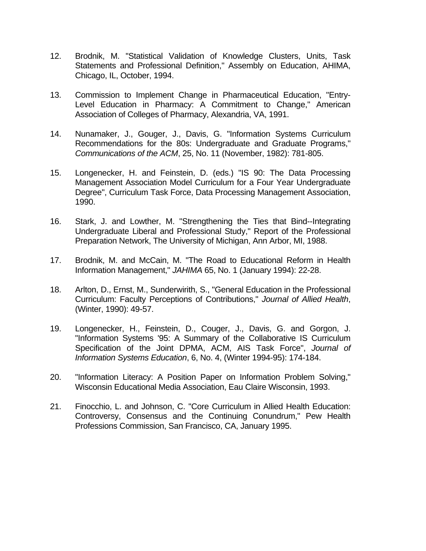- 12. Brodnik, M. "Statistical Validation of Knowledge Clusters, Units, Task Statements and Professional Definition," Assembly on Education, AHIMA, Chicago, IL, October, 1994.
- 13. Commission to Implement Change in Pharmaceutical Education, "Entry-Level Education in Pharmacy: A Commitment to Change," American Association of Colleges of Pharmacy, Alexandria, VA, 1991.
- 14. Nunamaker, J., Gouger, J., Davis, G. "Information Systems Curriculum Recommendations for the 80s: Undergraduate and Graduate Programs," *Communications of the ACM*, 25, No. 11 (November, 1982): 781-805.
- 15. Longenecker, H. and Feinstein, D. (eds.) "IS 90: The Data Processing Management Association Model Curriculum for a Four Year Undergraduate Degree", Curriculum Task Force, Data Processing Management Association, 1990.
- 16. Stark, J. and Lowther, M. "Strengthening the Ties that Bind--Integrating Undergraduate Liberal and Professional Study," Report of the Professional Preparation Network, The University of Michigan, Ann Arbor, MI, 1988.
- 17. Brodnik, M. and McCain, M. "The Road to Educational Reform in Health Information Management," *JAHIMA* 65, No. 1 (January 1994): 22-28.
- 18. Arlton, D., Ernst, M., Sunderwirith, S., "General Education in the Professional Curriculum: Faculty Perceptions of Contributions," *Journal of Allied Health*, (Winter, 1990): 49-57.
- 19. Longenecker, H., Feinstein, D., Couger, J., Davis, G. and Gorgon, J. "Information Systems '95: A Summary of the Collaborative IS Curriculum Specification of the Joint DPMA, ACM, AIS Task Force", *Journal of Information Systems Education*, 6, No. 4, (Winter 1994-95): 174-184.
- 20. "Information Literacy: A Position Paper on Information Problem Solving," Wisconsin Educational Media Association, Eau Claire Wisconsin, 1993.
- 21. Finocchio, L. and Johnson, C. "Core Curriculum in Allied Health Education: Controversy, Consensus and the Continuing Conundrum," Pew Health Professions Commission, San Francisco, CA, January 1995.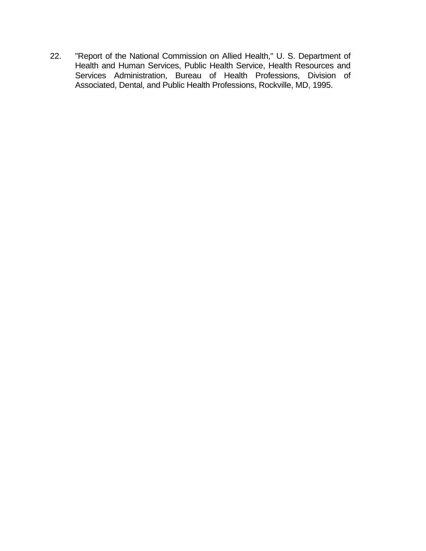22. "Report of the National Commission on Allied Health," U. S. Department of Health and Human Services, Public Health Service, Health Resources and Services Administration, Bureau of Health Professions, Division of Associated, Dental, and Public Health Professions, Rockville, MD, 1995.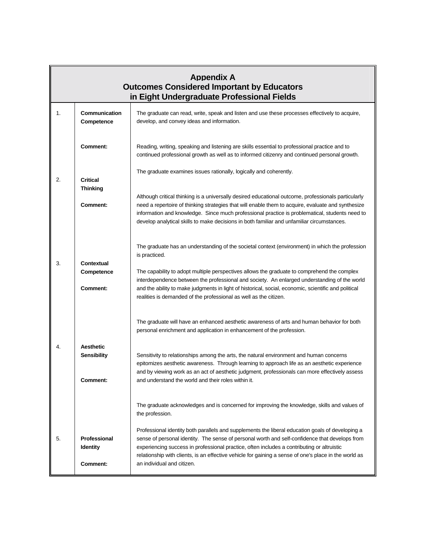| <b>Appendix A</b><br><b>Outcomes Considered Important by Educators</b><br>in Eight Undergraduate Professional Fields |                                                    |                                                                                                                                                                                                                                                                                                                                                                                                           |  |  |
|----------------------------------------------------------------------------------------------------------------------|----------------------------------------------------|-----------------------------------------------------------------------------------------------------------------------------------------------------------------------------------------------------------------------------------------------------------------------------------------------------------------------------------------------------------------------------------------------------------|--|--|
| 1.                                                                                                                   | Communication<br>Competence                        | The graduate can read, write, speak and listen and use these processes effectively to acquire,<br>develop, and convey ideas and information.                                                                                                                                                                                                                                                              |  |  |
|                                                                                                                      | Comment:                                           | Reading, writing, speaking and listening are skills essential to professional practice and to<br>continued professional growth as well as to informed citizenry and continued personal growth.                                                                                                                                                                                                            |  |  |
| 2.                                                                                                                   | <b>Critical</b><br><b>Thinking</b>                 | The graduate examines issues rationally, logically and coherently.                                                                                                                                                                                                                                                                                                                                        |  |  |
|                                                                                                                      | <b>Comment:</b>                                    | Although critical thinking is a universally desired educational outcome, professionals particularly<br>need a repertoire of thinking strategies that will enable them to acquire, evaluate and synthesize<br>information and knowledge. Since much professional practice is problematical, students need to<br>develop analytical skills to make decisions in both familiar and unfamiliar circumstances. |  |  |
| 3.<br>Contextual<br>Competence<br>Comment:                                                                           |                                                    | The graduate has an understanding of the societal context (environment) in which the profession<br>is practiced.                                                                                                                                                                                                                                                                                          |  |  |
|                                                                                                                      |                                                    | The capability to adopt multiple perspectives allows the graduate to comprehend the complex<br>interdependence between the professional and society. An enlarged understanding of the world<br>and the ability to make judgments in light of historical, social, economic, scientific and political<br>realities is demanded of the professional as well as the citizen.                                  |  |  |
|                                                                                                                      |                                                    | The graduate will have an enhanced aesthetic awareness of arts and human behavior for both<br>personal enrichment and application in enhancement of the profession.                                                                                                                                                                                                                                       |  |  |
| 4.                                                                                                                   | <b>Aesthetic</b><br><b>Sensibility</b><br>Comment: | Sensitivity to relationships among the arts, the natural environment and human concerns<br>epitomizes aesthetic awareness. Through learning to approach life as an aesthetic experience<br>and by viewing work as an act of aesthetic judgment, professionals can more effectively assess<br>and understand the world and their roles within it.                                                          |  |  |
|                                                                                                                      |                                                    | The graduate acknowledges and is concerned for improving the knowledge, skills and values of<br>the profession.                                                                                                                                                                                                                                                                                           |  |  |
| 5.                                                                                                                   | Professional<br><b>Identity</b>                    | Professional identity both parallels and supplements the liberal education goals of developing a<br>sense of personal identity. The sense of personal worth and self-confidence that develops from<br>experiencing success in professional practice, often includes a contributing or altruistic<br>relationship with clients, is an effective vehicle for gaining a sense of one's place in the world as |  |  |
|                                                                                                                      | <b>Comment:</b>                                    | an individual and citizen.                                                                                                                                                                                                                                                                                                                                                                                |  |  |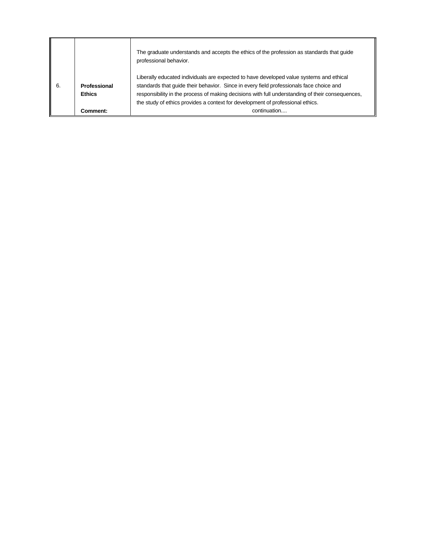|    |                               | The graduate understands and accepts the ethics of the profession as standards that guide<br>professional behavior.                                                                                                                                                                                                                                                      |
|----|-------------------------------|--------------------------------------------------------------------------------------------------------------------------------------------------------------------------------------------------------------------------------------------------------------------------------------------------------------------------------------------------------------------------|
| 6. | Professional<br><b>Ethics</b> | Liberally educated individuals are expected to have developed value systems and ethical<br>standards that quide their behavior. Since in every field professionals face choice and<br>responsibility in the process of making decisions with full understanding of their consequences,<br>the study of ethics provides a context for development of professional ethics. |
|    | Comment:                      | continuation                                                                                                                                                                                                                                                                                                                                                             |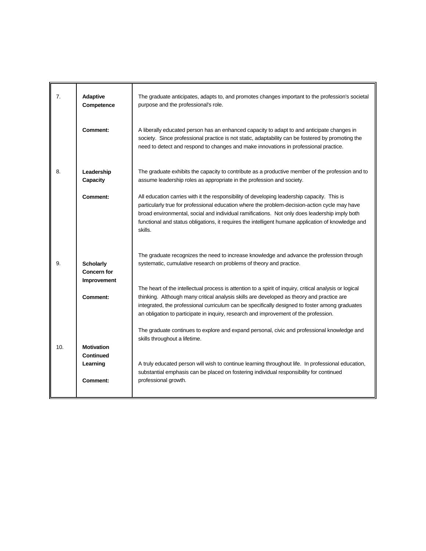| 7.  | Adaptive<br>Competence                                | The graduate anticipates, adapts to, and promotes changes important to the profession's societal<br>purpose and the professional's role.                                                                                                                                                                                                                                                                       |
|-----|-------------------------------------------------------|----------------------------------------------------------------------------------------------------------------------------------------------------------------------------------------------------------------------------------------------------------------------------------------------------------------------------------------------------------------------------------------------------------------|
|     | Comment:                                              | A liberally educated person has an enhanced capacity to adapt to and anticipate changes in<br>society. Since professional practice is not static, adaptability can be fostered by promoting the<br>need to detect and respond to changes and make innovations in professional practice.                                                                                                                        |
| 8.  | Leadership<br>Capacity                                | The graduate exhibits the capacity to contribute as a productive member of the profession and to<br>assume leadership roles as appropriate in the profession and society.                                                                                                                                                                                                                                      |
|     | <b>Comment:</b>                                       | All education carries with it the responsibility of developing leadership capacity. This is<br>particularly true for professional education where the problem-decision-action cycle may have<br>broad environmental, social and individual ramifications. Not only does leadership imply both<br>functional and status obligations, it requires the intelligent humane application of knowledge and<br>skills. |
| 9.  | <b>Scholarly</b><br><b>Concern for</b><br>Improvement | The graduate recognizes the need to increase knowledge and advance the profession through<br>systematic, cumulative research on problems of theory and practice.                                                                                                                                                                                                                                               |
|     | <b>Comment:</b>                                       | The heart of the intellectual process is attention to a spirit of inquiry, critical analysis or logical<br>thinking. Although many critical analysis skills are developed as theory and practice are<br>integrated, the professional curriculum can be specifically designed to foster among graduates<br>an obligation to participate in inquiry, research and improvement of the profession.                 |
|     |                                                       | The graduate continues to explore and expand personal, civic and professional knowledge and<br>skills throughout a lifetime.                                                                                                                                                                                                                                                                                   |
| 10. | <b>Motivation</b><br><b>Continued</b><br>Learning     | A truly educated person will wish to continue learning throughout life. In professional education,<br>substantial emphasis can be placed on fostering individual responsibility for continued                                                                                                                                                                                                                  |
|     | <b>Comment:</b>                                       | professional growth.                                                                                                                                                                                                                                                                                                                                                                                           |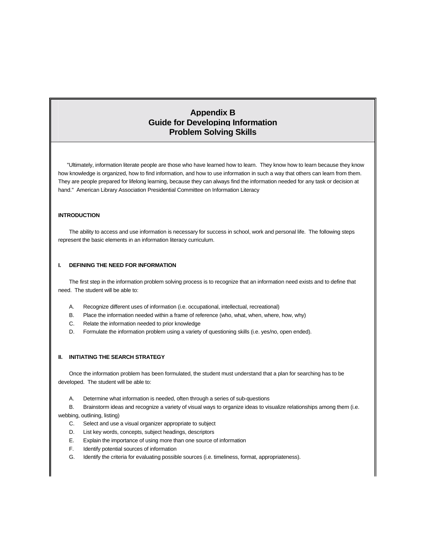# **Appendix B Guide for Developing Information Problem Solving Skills**

 "Ultimately, information literate people are those who have learned how to learn. They know how to learn because they know how knowledge is organized, how to find information, and how to use information in such a way that others can learn from them. They are people prepared for lifelong learning, because they can always find the information needed for any task or decision at hand." American Library Association Presidential Committee on Information Literacy

#### **INTRODUCTION**

 The ability to access and use information is necessary for success in school, work and personal life. The following steps represent the basic elements in an information literacy curriculum.

#### **I. DEFINING THE NEED FOR INFORMATION**

 The first step in the information problem solving process is to recognize that an information need exists and to define that need. The student will be able to:

- A. Recognize different uses of information (i.e. occupational, intellectual, recreational)
- B. Place the information needed within a frame of reference (who, what, when, where, how, why)
- C. Relate the information needed to prior knowledge
- D. Formulate the information problem using a variety of questioning skills (i.e. yes/no, open ended).

#### **II. INITIATING THE SEARCH STRATEGY**

 Once the information problem has been formulated, the student must understand that a plan for searching has to be developed. The student will be able to:

A. Determine what information is needed, often through a series of sub-questions

 B. Brainstorm ideas and recognize a variety of visual ways to organize ideas to visualize relationships among them (i.e. webbing, outlining, listing)

- C. Select and use a visual organizer appropriate to subject
- D. List key words, concepts, subject headings, descriptors
- E. Explain the importance of using more than one source of information
- F. Identify potential sources of information
- G. Identify the criteria for evaluating possible sources (i.e. timeliness, format, appropriateness).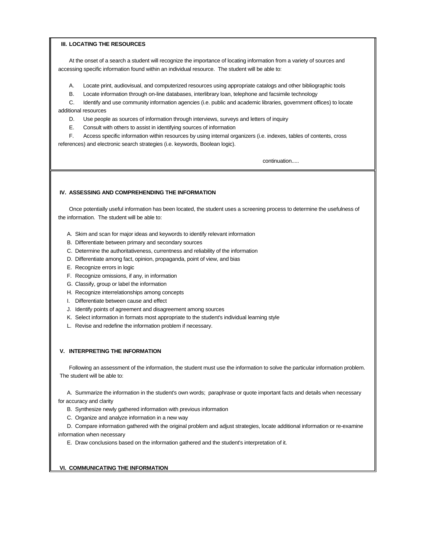#### **III. LOCATING THE RESOURCES**

 At the onset of a search a student will recognize the importance of locating information from a variety of sources and accessing specific information found within an individual resource. The student will be able to:

- A. Locate print, audiovisual, and computerized resources using appropriate catalogs and other bibliographic tools
- B. Locate information through on-line databases, interlibrary loan, telephone and facsimile technology

 C. Identify and use community information agencies (i.e. public and academic libraries, government offices) to locate additional resources

- D. Use people as sources of information through interviews, surveys and letters of inquiry
- E. Consult with others to assist in identifying sources of information

 F. Access specific information within resources by using internal organizers (i.e. indexes, tables of contents, cross references) and electronic search strategies (i.e. keywords, Boolean logic).

continuation.....

#### **IV. ASSESSING AND COMPREHENDING THE INFORMATION**

 Once potentially useful information has been located, the student uses a screening process to determine the usefulness of the information. The student will be able to:

- A. Skim and scan for major ideas and keywords to identify relevant information
- B. Differentiate between primary and secondary sources
- C. Determine the authoritativeness, currentness and reliability of the information
- D. Differentiate among fact, opinion, propaganda, point of view, and bias
- E. Recognize errors in logic
- F. Recognize omissions, if any, in information
- G. Classify, group or label the information
- H. Recognize interrelationships among concepts
- I. Differentiate between cause and effect
- J. Identify points of agreement and disagreement among sources
- K. Select information in formats most appropriate to the student's individual learning style
- L. Revise and redefine the information problem if necessary.

#### **V. INTERPRETING THE INFORMATION**

 Following an assessment of the information, the student must use the information to solve the particular information problem. The student will be able to:

 A. Summarize the information in the student's own words; paraphrase or quote important facts and details when necessary for accuracy and clarity

- B. Synthesize newly gathered information with previous information
- C. Organize and analyze information in a new way

 D. Compare information gathered with the original problem and adjust strategies, locate additional information or re-examine information when necessary

E. Draw conclusions based on the information gathered and the student's interpretation of it.

#### **VI. COMMUNICATING THE INFORMATION**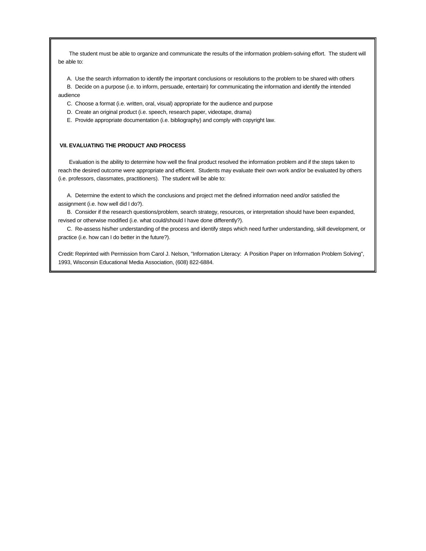The student must be able to organize and communicate the results of the information problem-solving effort. The student will be able to:

A. Use the search information to identify the important conclusions or resolutions to the problem to be shared with others

- B. Decide on a purpose (i.e. to inform, persuade, entertain) for communicating the information and identify the intended audience
	- C. Choose a format (i.e. written, oral, visual) appropriate for the audience and purpose
	- D. Create an original product (i.e. speech, research paper, videotape, drama)
	- E. Provide appropriate documentation (i.e. bibliography) and comply with copyright law.

#### **VII. EVALUATING THE PRODUCT AND PROCESS**

 Evaluation is the ability to determine how well the final product resolved the information problem and if the steps taken to reach the desired outcome were appropriate and efficient. Students may evaluate their own work and/or be evaluated by others (i.e. professors, classmates, practitioners). The student will be able to:

 A. Determine the extent to which the conclusions and project met the defined information need and/or satisfied the assignment (i.e. how well did I do?).

 B. Consider if the research questions/problem, search strategy, resources, or interpretation should have been expanded, revised or otherwise modified (i.e. what could/should I have done differently?).

 C. Re-assess his/her understanding of the process and identify steps which need further understanding, skill development, or practice (i.e. how can I do better in the future?).

Credit: Reprinted with Permission from Carol J. Nelson, "Information Literacy: A Position Paper on Information Problem Solving", 1993, Wisconsin Educational Media Association, (608) 822-6884.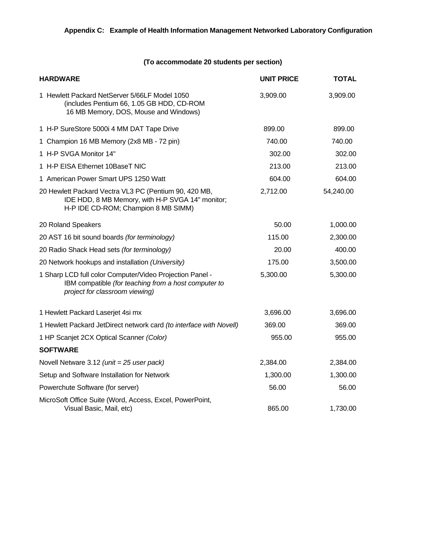# **(To accommodate 20 students per section)**

| <b>HARDWARE</b>                                                                                                                                    | <b>UNIT PRICE</b> | <b>TOTAL</b> |
|----------------------------------------------------------------------------------------------------------------------------------------------------|-------------------|--------------|
| 1 Hewlett Packard NetServer 5/66LF Model 1050<br>(includes Pentium 66, 1.05 GB HDD, CD-ROM<br>16 MB Memory, DOS, Mouse and Windows)                | 3,909.00          | 3,909.00     |
| 1 H-P SureStore 5000i 4 MM DAT Tape Drive                                                                                                          | 899.00            | 899.00       |
| 1 Champion 16 MB Memory (2x8 MB - 72 pin)                                                                                                          | 740.00            | 740.00       |
| 1 H-P SVGA Monitor 14"                                                                                                                             | 302.00            | 302.00       |
| 1 H-P EISA Ethernet 10BaseT NIC                                                                                                                    | 213.00            | 213.00       |
| 1 American Power Smart UPS 1250 Watt                                                                                                               | 604.00            | 604.00       |
| 20 Hewlett Packard Vectra VL3 PC (Pentium 90, 420 MB,<br>IDE HDD, 8 MB Memory, with H-P SVGA 14" monitor;<br>H-P IDE CD-ROM; Champion 8 MB SIMM)   | 2,712.00          | 54,240.00    |
| 20 Roland Speakers                                                                                                                                 | 50.00             | 1,000.00     |
| 20 AST 16 bit sound boards (for terminology)                                                                                                       | 115.00            | 2,300.00     |
| 20 Radio Shack Head sets (for terminology)                                                                                                         | 20.00             | 400.00       |
| 20 Network hookups and installation (University)                                                                                                   | 175.00            | 3,500.00     |
| 1 Sharp LCD full color Computer/Video Projection Panel -<br>IBM compatible (for teaching from a host computer to<br>project for classroom viewing) | 5,300.00          | 5,300.00     |
| 1 Hewlett Packard Laserjet 4si mx                                                                                                                  | 3,696.00          | 3,696.00     |
| 1 Hewlett Packard JetDirect network card (to interface with Novell)                                                                                | 369.00            | 369.00       |
| 1 HP Scanjet 2CX Optical Scanner (Color)                                                                                                           | 955.00            | 955.00       |
| <b>SOFTWARE</b>                                                                                                                                    |                   |              |
| Novell Netware 3.12 (unit = 25 user pack)                                                                                                          | 2,384.00          | 2,384.00     |
| Setup and Software Installation for Network                                                                                                        | 1,300.00          | 1,300.00     |
| Powerchute Software (for server)                                                                                                                   | 56.00             | 56.00        |
| MicroSoft Office Suite (Word, Access, Excel, PowerPoint,<br>Visual Basic, Mail, etc)                                                               | 865.00            | 1,730.00     |